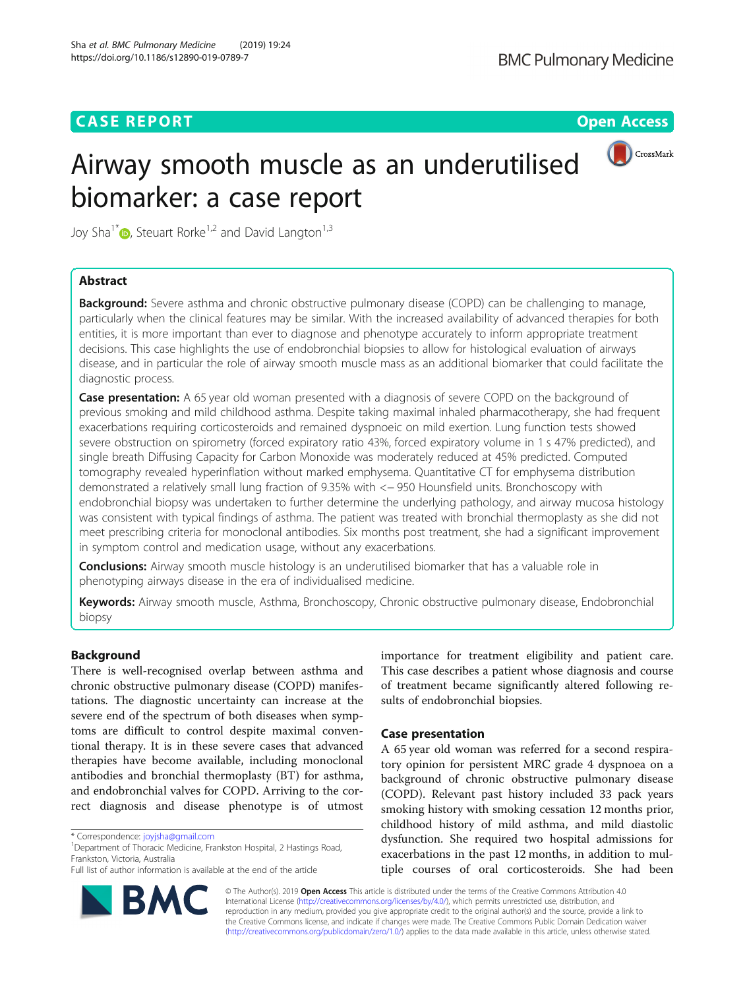## **CASE REPORT CASE REPORT CASE REPORT**



# Airway smooth muscle as an underutilised biomarker: a case report

Joy Sha<sup>1[\\*](http://orcid.org/0000-0003-3901-199X)</sup> $\bullet$ , Steuart Rorke<sup>1,2</sup> and David Langton<sup>1,3</sup>

## Abstract

**Background:** Severe asthma and chronic obstructive pulmonary disease (COPD) can be challenging to manage, particularly when the clinical features may be similar. With the increased availability of advanced therapies for both entities, it is more important than ever to diagnose and phenotype accurately to inform appropriate treatment decisions. This case highlights the use of endobronchial biopsies to allow for histological evaluation of airways disease, and in particular the role of airway smooth muscle mass as an additional biomarker that could facilitate the diagnostic process.

**Case presentation:** A 65 year old woman presented with a diagnosis of severe COPD on the background of previous smoking and mild childhood asthma. Despite taking maximal inhaled pharmacotherapy, she had frequent exacerbations requiring corticosteroids and remained dyspnoeic on mild exertion. Lung function tests showed severe obstruction on spirometry (forced expiratory ratio 43%, forced expiratory volume in 1 s 47% predicted), and single breath Diffusing Capacity for Carbon Monoxide was moderately reduced at 45% predicted. Computed tomography revealed hyperinflation without marked emphysema. Quantitative CT for emphysema distribution demonstrated a relatively small lung fraction of 9.35% with <− 950 Hounsfield units. Bronchoscopy with endobronchial biopsy was undertaken to further determine the underlying pathology, and airway mucosa histology was consistent with typical findings of asthma. The patient was treated with bronchial thermoplasty as she did not meet prescribing criteria for monoclonal antibodies. Six months post treatment, she had a significant improvement in symptom control and medication usage, without any exacerbations.

**Conclusions:** Airway smooth muscle histology is an underutilised biomarker that has a valuable role in phenotyping airways disease in the era of individualised medicine.

Keywords: Airway smooth muscle, Asthma, Bronchoscopy, Chronic obstructive pulmonary disease, Endobronchial biopsy

## Background

There is well-recognised overlap between asthma and chronic obstructive pulmonary disease (COPD) manifestations. The diagnostic uncertainty can increase at the severe end of the spectrum of both diseases when symptoms are difficult to control despite maximal conventional therapy. It is in these severe cases that advanced therapies have become available, including monoclonal antibodies and bronchial thermoplasty (BT) for asthma, and endobronchial valves for COPD. Arriving to the correct diagnosis and disease phenotype is of utmost

<sup>1</sup>Department of Thoracic Medicine, Frankston Hospital, 2 Hastings Road, Frankston, Victoria, Australia

Full list of author information is available at the end of the article



importance for treatment eligibility and patient care. This case describes a patient whose diagnosis and course of treatment became significantly altered following results of endobronchial biopsies.

## Case presentation

A 65 year old woman was referred for a second respiratory opinion for persistent MRC grade 4 dyspnoea on a background of chronic obstructive pulmonary disease (COPD). Relevant past history included 33 pack years smoking history with smoking cessation 12 months prior, childhood history of mild asthma, and mild diastolic dysfunction. She required two hospital admissions for exacerbations in the past 12 months, in addition to multiple courses of oral corticosteroids. She had been

© The Author(s). 2019 Open Access This article is distributed under the terms of the Creative Commons Attribution 4.0 International License [\(http://creativecommons.org/licenses/by/4.0/](http://creativecommons.org/licenses/by/4.0/)), which permits unrestricted use, distribution, and reproduction in any medium, provided you give appropriate credit to the original author(s) and the source, provide a link to the Creative Commons license, and indicate if changes were made. The Creative Commons Public Domain Dedication waiver [\(http://creativecommons.org/publicdomain/zero/1.0/](http://creativecommons.org/publicdomain/zero/1.0/)) applies to the data made available in this article, unless otherwise stated.

<sup>\*</sup> Correspondence: [joyjsha@gmail.com](mailto:joyjsha@gmail.com) <sup>1</sup>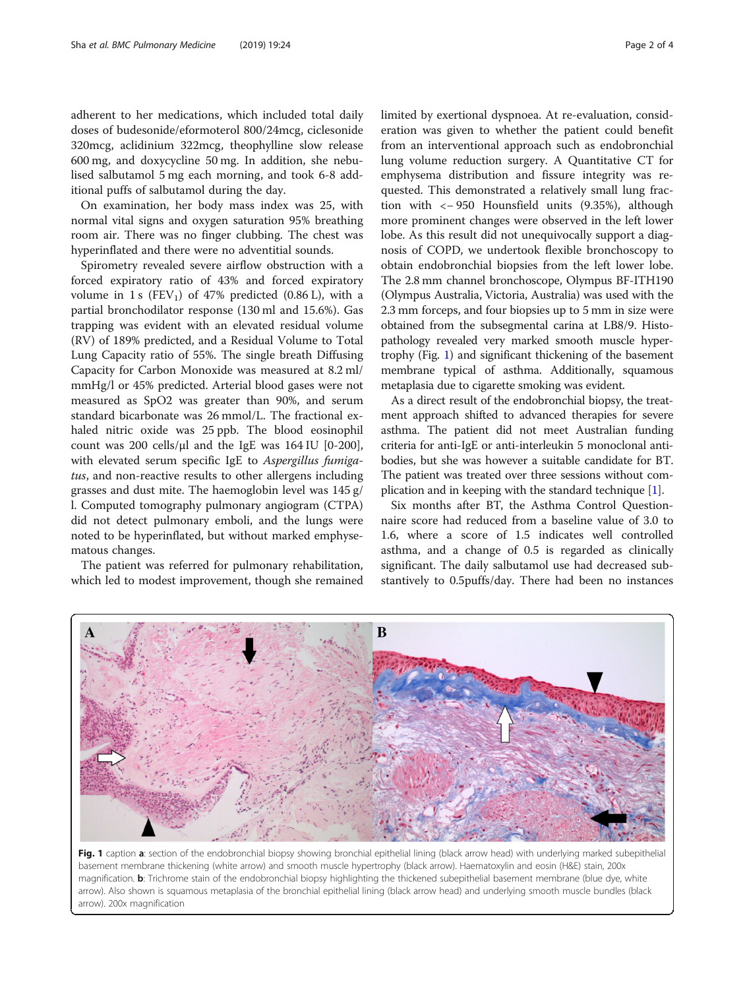adherent to her medications, which included total daily doses of budesonide/eformoterol 800/24mcg, ciclesonide 320mcg, aclidinium 322mcg, theophylline slow release 600 mg, and doxycycline 50 mg. In addition, she nebulised salbutamol 5 mg each morning, and took 6-8 additional puffs of salbutamol during the day.

On examination, her body mass index was 25, with normal vital signs and oxygen saturation 95% breathing room air. There was no finger clubbing. The chest was hyperinflated and there were no adventitial sounds.

Spirometry revealed severe airflow obstruction with a forced expiratory ratio of 43% and forced expiratory volume in 1 s  $(FEV_1)$  of 47% predicted (0.86 L), with a partial bronchodilator response (130 ml and 15.6%). Gas trapping was evident with an elevated residual volume (RV) of 189% predicted, and a Residual Volume to Total Lung Capacity ratio of 55%. The single breath Diffusing Capacity for Carbon Monoxide was measured at 8.2 ml/ mmHg/l or 45% predicted. Arterial blood gases were not measured as SpO2 was greater than 90%, and serum standard bicarbonate was 26 mmol/L. The fractional exhaled nitric oxide was 25 ppb. The blood eosinophil count was 200 cells/ $\mu$ l and the IgE was 164 IU [0-200], with elevated serum specific IgE to *Aspergillus fumiga*tus, and non-reactive results to other allergens including grasses and dust mite. The haemoglobin level was 145 g/ l. Computed tomography pulmonary angiogram (CTPA) did not detect pulmonary emboli, and the lungs were noted to be hyperinflated, but without marked emphysematous changes.

The patient was referred for pulmonary rehabilitation, which led to modest improvement, though she remained limited by exertional dyspnoea. At re-evaluation, consideration was given to whether the patient could benefit from an interventional approach such as endobronchial lung volume reduction surgery. A Quantitative CT for emphysema distribution and fissure integrity was requested. This demonstrated a relatively small lung fraction with <− 950 Hounsfield units (9.35%), although more prominent changes were observed in the left lower lobe. As this result did not unequivocally support a diagnosis of COPD, we undertook flexible bronchoscopy to obtain endobronchial biopsies from the left lower lobe. The 2.8 mm channel bronchoscope, Olympus BF-ITH190 (Olympus Australia, Victoria, Australia) was used with the 2.3 mm forceps, and four biopsies up to 5 mm in size were obtained from the subsegmental carina at LB8/9. Histopathology revealed very marked smooth muscle hypertrophy (Fig. 1) and significant thickening of the basement membrane typical of asthma. Additionally, squamous metaplasia due to cigarette smoking was evident.

As a direct result of the endobronchial biopsy, the treatment approach shifted to advanced therapies for severe asthma. The patient did not meet Australian funding criteria for anti-IgE or anti-interleukin 5 monoclonal antibodies, but she was however a suitable candidate for BT. The patient was treated over three sessions without complication and in keeping with the standard technique  $[1]$  $[1]$ .

Six months after BT, the Asthma Control Questionnaire score had reduced from a baseline value of 3.0 to 1.6, where a score of 1.5 indicates well controlled asthma, and a change of 0.5 is regarded as clinically significant. The daily salbutamol use had decreased substantively to 0.5puffs/day. There had been no instances



Fig. 1 caption a: section of the endobronchial biopsy showing bronchial epithelial lining (black arrow head) with underlying marked subepithelia basement membrane thickening (white arrow) and smooth muscle hypertrophy (black arrow). Haematoxylin and eosin (H&E) stain, 200x magnification. b: Trichrome stain of the endobronchial biopsy highlighting the thickened subepithelial basement membrane (blue dye, white arrow). Also shown is squamous metaplasia of the bronchial epithelial lining (black arrow head) and underlying smooth muscle bundles (black arrow). 200x magnification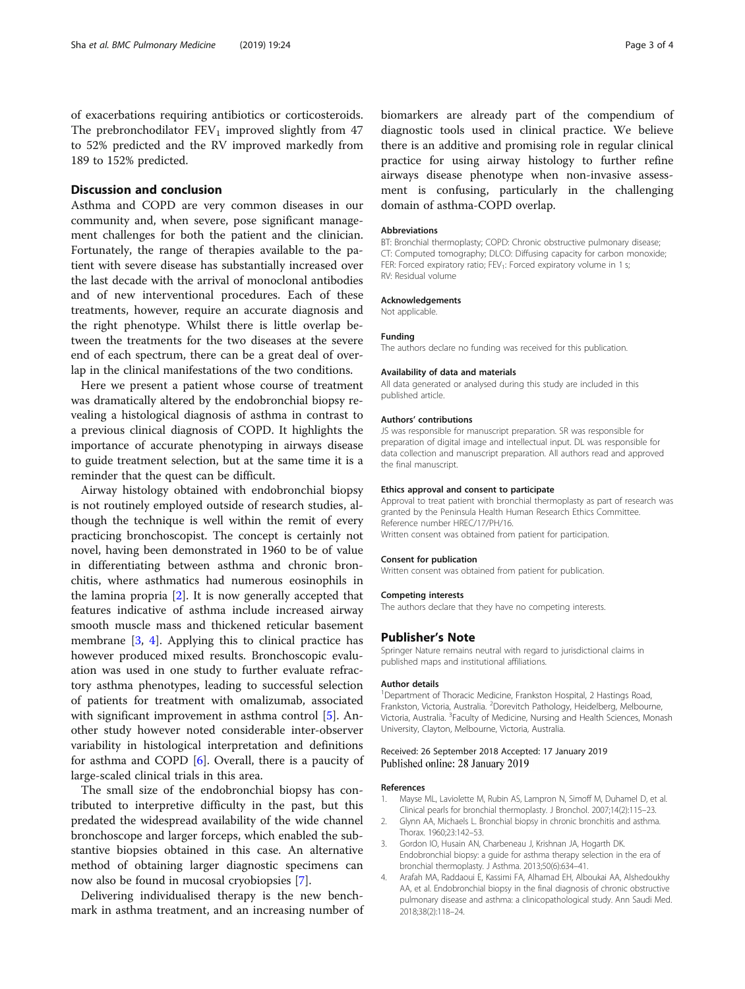<span id="page-2-0"></span>of exacerbations requiring antibiotics or corticosteroids. The prebronchodilator  $FEV_1$  improved slightly from 47 to 52% predicted and the RV improved markedly from 189 to 152% predicted.

### Discussion and conclusion

Asthma and COPD are very common diseases in our community and, when severe, pose significant management challenges for both the patient and the clinician. Fortunately, the range of therapies available to the patient with severe disease has substantially increased over the last decade with the arrival of monoclonal antibodies and of new interventional procedures. Each of these treatments, however, require an accurate diagnosis and the right phenotype. Whilst there is little overlap between the treatments for the two diseases at the severe end of each spectrum, there can be a great deal of overlap in the clinical manifestations of the two conditions.

Here we present a patient whose course of treatment was dramatically altered by the endobronchial biopsy revealing a histological diagnosis of asthma in contrast to a previous clinical diagnosis of COPD. It highlights the importance of accurate phenotyping in airways disease to guide treatment selection, but at the same time it is a reminder that the quest can be difficult.

Airway histology obtained with endobronchial biopsy is not routinely employed outside of research studies, although the technique is well within the remit of every practicing bronchoscopist. The concept is certainly not novel, having been demonstrated in 1960 to be of value in differentiating between asthma and chronic bronchitis, where asthmatics had numerous eosinophils in the lamina propria [2]. It is now generally accepted that features indicative of asthma include increased airway smooth muscle mass and thickened reticular basement membrane [3, 4]. Applying this to clinical practice has however produced mixed results. Bronchoscopic evaluation was used in one study to further evaluate refractory asthma phenotypes, leading to successful selection of patients for treatment with omalizumab, associated with significant improvement in asthma control [\[5\]](#page-3-0). Another study however noted considerable inter-observer variability in histological interpretation and definitions for asthma and COPD [\[6](#page-3-0)]. Overall, there is a paucity of large-scaled clinical trials in this area.

The small size of the endobronchial biopsy has contributed to interpretive difficulty in the past, but this predated the widespread availability of the wide channel bronchoscope and larger forceps, which enabled the substantive biopsies obtained in this case. An alternative method of obtaining larger diagnostic specimens can now also be found in mucosal cryobiopsies [[7\]](#page-3-0).

Delivering individualised therapy is the new benchmark in asthma treatment, and an increasing number of

biomarkers are already part of the compendium of diagnostic tools used in clinical practice. We believe there is an additive and promising role in regular clinical practice for using airway histology to further refine airways disease phenotype when non-invasive assessment is confusing, particularly in the challenging domain of asthma-COPD overlap.

#### Abbreviations

BT: Bronchial thermoplasty; COPD: Chronic obstructive pulmonary disease; CT: Computed tomography; DLCO: Diffusing capacity for carbon monoxide; FER: Forced expiratory ratio; FEV<sub>1</sub>: Forced expiratory volume in 1 s; RV: Residual volume

#### Acknowledgements

Not applicable.

#### Funding

The authors declare no funding was received for this publication.

#### Availability of data and materials

All data generated or analysed during this study are included in this published article.

#### Authors' contributions

JS was responsible for manuscript preparation. SR was responsible for preparation of digital image and intellectual input. DL was responsible for data collection and manuscript preparation. All authors read and approved the final manuscript.

#### Ethics approval and consent to participate

Approval to treat patient with bronchial thermoplasty as part of research was granted by the Peninsula Health Human Research Ethics Committee. Reference number HREC/17/PH/16.

Written consent was obtained from patient for participation.

#### Consent for publication

Written consent was obtained from patient for publication.

#### Competing interests

The authors declare that they have no competing interests.

#### Publisher's Note

Springer Nature remains neutral with regard to jurisdictional claims in published maps and institutional affiliations.

#### Author details

<sup>1</sup>Department of Thoracic Medicine, Frankston Hospital, 2 Hastings Road, Frankston, Victoria, Australia. <sup>2</sup>Dorevitch Pathology, Heidelberg, Melbourne Victoria, Australia. <sup>3</sup>Faculty of Medicine, Nursing and Health Sciences, Monash University, Clayton, Melbourne, Victoria, Australia.

#### Received: 26 September 2018 Accepted: 17 January 2019 Published online: 28 January 2019

#### References

- 1. Mayse ML, Laviolette M, Rubin AS, Lampron N, Simoff M, Duhamel D, et al. Clinical pearls for bronchial thermoplasty. J Bronchol. 2007;14(2):115–23.
- 2. Glynn AA, Michaels L. Bronchial biopsy in chronic bronchitis and asthma. Thorax. 1960;23:142–53.
- 3. Gordon IO, Husain AN, Charbeneau J, Krishnan JA, Hogarth DK. Endobronchial biopsy: a guide for asthma therapy selection in the era of bronchial thermoplasty. J Asthma. 2013;50(6):634–41.
- 4. Arafah MA, Raddaoui E, Kassimi FA, Alhamad EH, Alboukai AA, Alshedoukhy AA, et al. Endobronchial biopsy in the final diagnosis of chronic obstructive pulmonary disease and asthma: a clinicopathological study. Ann Saudi Med. 2018;38(2):118–24.